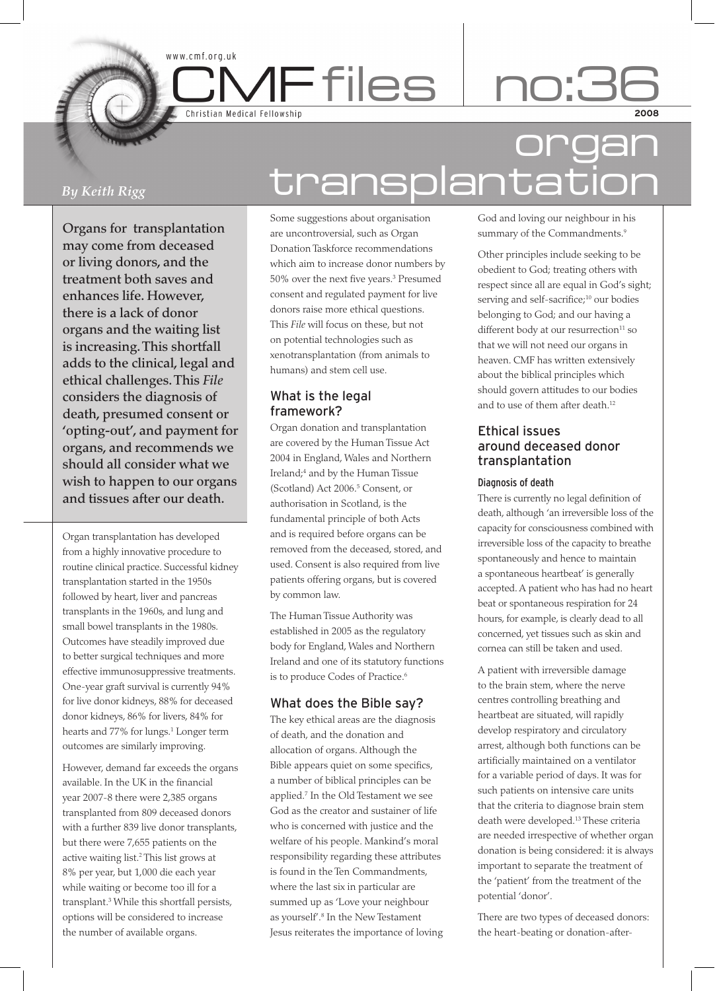Christian Medical Fellowship

www.cmf.org.uk

# *By Keith Rigg*

Organs for transplantation may come from deceased or living donors, and the treatment both saves and enhances life. However, there is a lack of donor organs and the waiting list is increasing. This shortfall adds to the clinical, legal and ethical challenges. This *File* considers the diagnosis of death, presumed consent or 'opting-out', and payment for organs, and recommends we should all consider what we wish to happen to our organs and tissues after our death.

Organ transplantation has developed from a highly innovative procedure to routine clinical practice. Successful kidney transplantation started in the 1950s followed by heart, liver and pancreas transplants in the 1960s, and lung and small bowel transplants in the 1980s. Outcomes have steadily improved due to better surgical techniques and more effective immunosuppressive treatments. One-year graft survival is currently 94% for live donor kidneys, 88% for deceased donor kidneys, 86% for livers, 84% for hearts and 77% for lungs.<sup>1</sup> Longer term outcomes are similarly improving.

However, demand far exceeds the organs available. In the UK in the financial year 2007-8 there were 2,385 organs transplanted from 809 deceased donors with a further 839 live donor transplants, but there were 7,655 patients on the active waiting list.2 This list grows at 8% per year, but 1,000 die each year while waiting or become too ill for a transplant.3 While this shortfall persists, options will be considered to increase the number of available organs.

# organ transplantation

Some suggestions about organisation are uncontroversial, such as Organ Donation Taskforce recommendations which aim to increase donor numbers by 50% over the next five years.3 Presumed consent and regulated payment for live donors raise more ethical questions. This *File* will focus on these, but not on potential technologies such as xenotransplantation (from animals to humans) and stem cell use.

**MFfiles** 

# What is the legal framework?

Organ donation and transplantation are covered by the Human Tissue Act 2004 in England, Wales and Northern Ireland;4 and by the Human Tissue (Scotland) Act 2006.<sup>5</sup> Consent, or authorisation in Scotland, is the fundamental principle of both Acts and is required before organs can be removed from the deceased, stored, and used. Consent is also required from live patients offering organs, but is covered by common law.

The Human Tissue Authority was established in 2005 as the regulatory body for England, Wales and Northern Ireland and one of its statutory functions is to produce Codes of Practice.<sup>6</sup>

# What does the Bible say?

The key ethical areas are the diagnosis of death, and the donation and allocation of organs. Although the Bible appears quiet on some specifics, a number of biblical principles can be applied.7 In the Old Testament we see God as the creator and sustainer of life who is concerned with justice and the welfare of his people. Mankind's moral responsibility regarding these attributes is found in the Ten Commandments, where the last six in particular are summed up as 'Love your neighbour as yourself'.8 In the New Testament Jesus reiterates the importance of loving God and loving our neighbour in his summary of the Commandments.<sup>9</sup>

Other principles include seeking to be obedient to God; treating others with respect since all are equal in God's sight; serving and self-sacrifice;<sup>10</sup> our bodies belonging to God; and our having a different body at our resurrection<sup>11</sup> so that we will not need our organs in heaven. CMF has written extensively about the biblical principles which should govern attitudes to our bodies and to use of them after death.<sup>12</sup>

## Ethical issues around deceased donor transplantation

#### Diagnosis of death

There is currently no legal definition of death, although 'an irreversible loss of the capacity for consciousness combined with irreversible loss of the capacity to breathe spontaneously and hence to maintain a spontaneous heartbeat' is generally accepted. A patient who has had no heart beat or spontaneous respiration for 24 hours, for example, is clearly dead to all concerned, yet tissues such as skin and cornea can still be taken and used.

A patient with irreversible damage to the brain stem, where the nerve centres controlling breathing and heartbeat are situated, will rapidly develop respiratory and circulatory arrest, although both functions can be artificially maintained on a ventilator for a variable period of days. It was for such patients on intensive care units that the criteria to diagnose brain stem death were developed.13 These criteria are needed irrespective of whether organ donation is being considered: it is always important to separate the treatment of the 'patient' from the treatment of the potential 'donor'.

There are two types of deceased donors: the heart-beating or donation-after-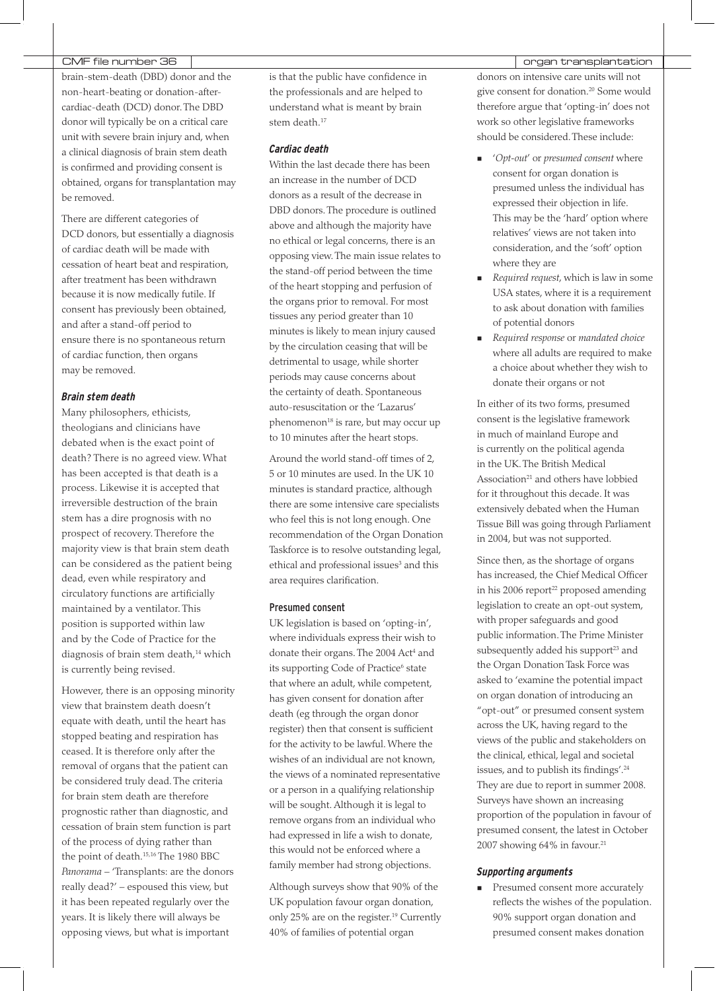#### CMF file number 36  $\vert$

brain-stem-death (DBD) donor and the non-heart-beating or donation-aftercardiac-death (DCD) donor. The DBD donor will typically be on a critical care unit with severe brain injury and, when a clinical diagnosis of brain stem death is confirmed and providing consent is obtained, organs for transplantation may be removed.

There are different categories of DCD donors, but essentially a diagnosis of cardiac death will be made with cessation of heart beat and respiration, after treatment has been withdrawn because it is now medically futile. If consent has previously been obtained, and after a stand-off period to ensure there is no spontaneous return of cardiac function, then organs may be removed.

#### *Brain stem death*

Many philosophers, ethicists, theologians and clinicians have debated when is the exact point of death? There is no agreed view. What has been accepted is that death is a process. Likewise it is accepted that irreversible destruction of the brain stem has a dire prognosis with no prospect of recovery. Therefore the majority view is that brain stem death can be considered as the patient being dead, even while respiratory and circulatory functions are artificially maintained by a ventilator. This position is supported within law and by the Code of Practice for the diagnosis of brain stem death,<sup>14</sup> which is currently being revised.

However, there is an opposing minority view that brainstem death doesn't equate with death, until the heart has stopped beating and respiration has ceased. It is therefore only after the removal of organs that the patient can be considered truly dead. The criteria for brain stem death are therefore prognostic rather than diagnostic, and cessation of brain stem function is part of the process of dying rather than the point of death.15,16 The 1980 BBC *Panorama* – 'Transplants: are the donors really dead?' – espoused this view, but it has been repeated regularly over the years. It is likely there will always be opposing views, but what is important

is that the public have confidence in the professionals and are helped to understand what is meant by brain stem death.<sup>17</sup>

## *Cardiac death*

Within the last decade there has been an increase in the number of DCD donors as a result of the decrease in DBD donors. The procedure is outlined above and although the majority have no ethical or legal concerns, there is an opposing view. The main issue relates to the stand-off period between the time of the heart stopping and perfusion of the organs prior to removal. For most tissues any period greater than 10 minutes is likely to mean injury caused by the circulation ceasing that will be detrimental to usage, while shorter periods may cause concerns about the certainty of death. Spontaneous auto-resuscitation or the 'Lazarus' phenomenon<sup>18</sup> is rare, but may occur up to 10 minutes after the heart stops.

Around the world stand-off times of 2, 5 or 10 minutes are used. In the UK 10 minutes is standard practice, although there are some intensive care specialists who feel this is not long enough. One recommendation of the Organ Donation Taskforce is to resolve outstanding legal, ethical and professional issues<sup>3</sup> and this area requires clarification.

#### Presumed consent

UK legislation is based on 'opting-in', where individuals express their wish to donate their organs. The 2004 Act<sup>4</sup> and its supporting Code of Practice<sup>6</sup> state that where an adult, while competent, has given consent for donation after death (eg through the organ donor register) then that consent is sufficient for the activity to be lawful. Where the wishes of an individual are not known, the views of a nominated representative or a person in a qualifying relationship will be sought. Although it is legal to remove organs from an individual who had expressed in life a wish to donate, this would not be enforced where a family member had strong objections.

Although surveys show that 90% of the UK population favour organ donation, only 25% are on the register.19 Currently 40% of families of potential organ

donors on intensive care units will not give consent for donation.20 Some would therefore argue that 'opting-in' does not work so other legislative frameworks should be considered. These include:

- '*Opt-out*' or *presumed consent* where consent for organ donation is presumed unless the individual has expressed their objection in life. This may be the 'hard' option where relatives' views are not taken into consideration, and the 'soft' option where they are ×.
- *Required request*, which is law in some USA states, where it is a requirement to ask about donation with families of potential donors
- *Required response* or *mandated choice* where all adults are required to make a choice about whether they wish to donate their organs or not

In either of its two forms, presumed consent is the legislative framework in much of mainland Europe and is currently on the political agenda in the UK. The British Medical Association<sup>21</sup> and others have lobbied for it throughout this decade. It was extensively debated when the Human Tissue Bill was going through Parliament in 2004, but was not supported.

Since then, as the shortage of organs has increased, the Chief Medical Officer in his 2006 report<sup>22</sup> proposed amending legislation to create an opt-out system, with proper safeguards and good public information. The Prime Minister subsequently added his support<sup>23</sup> and the Organ Donation Task Force was asked to 'examine the potential impact on organ donation of introducing an "opt-out" or presumed consent system across the UK, having regard to the views of the public and stakeholders on the clinical, ethical, legal and societal issues, and to publish its findings'.24 They are due to report in summer 2008. Surveys have shown an increasing proportion of the population in favour of presumed consent, the latest in October 2007 showing 64% in favour.<sup>21</sup>

#### *Supporting arguments*

**Presumed consent more accurately** reflects the wishes of the population. 90% support organ donation and presumed consent makes donation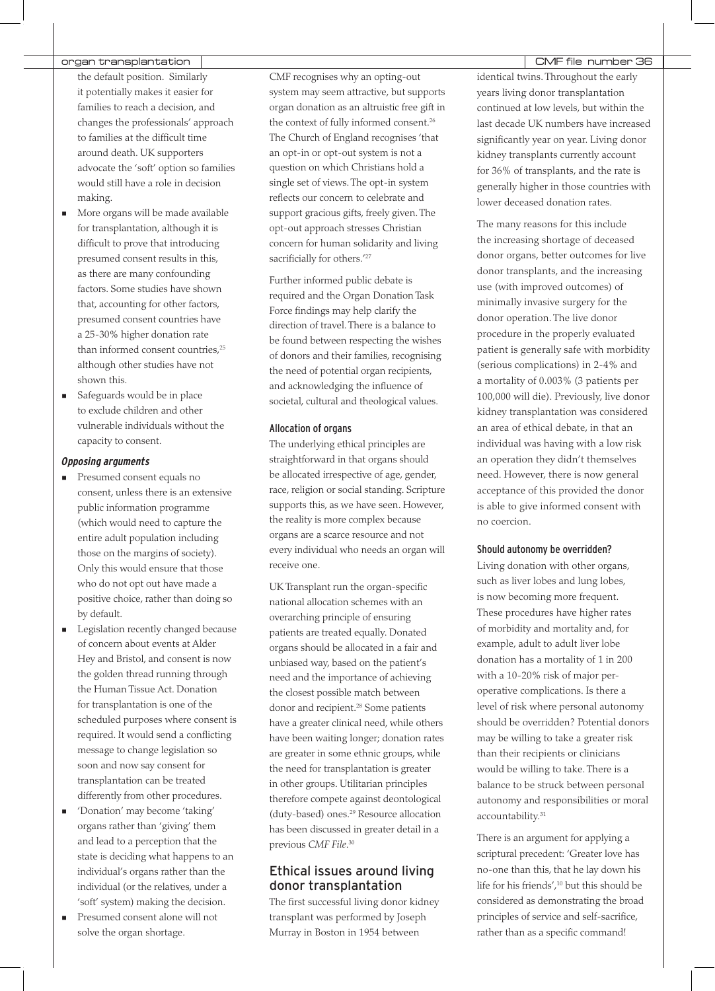## organ transplantation | www.community.community.community.community.community.community.community.community.com

- the default position. Similarly it potentially makes it easier for families to reach a decision, and changes the professionals' approach to families at the difficult time around death. UK supporters advocate the 'soft' option so families would still have a role in decision making.
- **More organs will be made available** for transplantation, although it is difficult to prove that introducing presumed consent results in this, as there are many confounding factors. Some studies have shown that, accounting for other factors, presumed consent countries have a 25-30% higher donation rate than informed consent countries,<sup>25</sup> although other studies have not shown this.
- **Safeguards would be in place** to exclude children and other vulnerable individuals without the capacity to consent.

#### *Opposing arguments*

- **Presumed consent equals no** consent, unless there is an extensive public information programme (which would need to capture the entire adult population including those on the margins of society). Only this would ensure that those who do not opt out have made a positive choice, rather than doing so by default.
- Legislation recently changed because of concern about events at Alder Hey and Bristol, and consent is now the golden thread running through the Human Tissue Act. Donation for transplantation is one of the scheduled purposes where consent is required. It would send a conflicting message to change legislation so soon and now say consent for transplantation can be treated differently from other procedures.
- 'Donation' may become 'taking' organs rather than 'giving' them and lead to a perception that the state is deciding what happens to an individual's organs rather than the individual (or the relatives, under a 'soft' system) making the decision.
- Presumed consent alone will not solve the organ shortage.

CMF recognises why an opting-out system may seem attractive, but supports organ donation as an altruistic free gift in the context of fully informed consent.<sup>26</sup> The Church of England recognises 'that an opt-in or opt-out system is not a question on which Christians hold a single set of views. The opt-in system reflects our concern to celebrate and support gracious gifts, freely given. The opt-out approach stresses Christian concern for human solidarity and living sacrificially for others.<sup>'27</sup>

Further informed public debate is required and the Organ Donation Task Force findings may help clarify the direction of travel. There is a balance to be found between respecting the wishes of donors and their families, recognising the need of potential organ recipients, and acknowledging the influence of societal, cultural and theological values.

#### Allocation of organs

The underlying ethical principles are straightforward in that organs should be allocated irrespective of age, gender, race, religion or social standing. Scripture supports this, as we have seen. However, the reality is more complex because organs are a scarce resource and not every individual who needs an organ will receive one.

UK Transplant run the organ-specific national allocation schemes with an overarching principle of ensuring patients are treated equally. Donated organs should be allocated in a fair and unbiased way, based on the patient's need and the importance of achieving the closest possible match between donor and recipient.<sup>28</sup> Some patients have a greater clinical need, while others have been waiting longer; donation rates are greater in some ethnic groups, while the need for transplantation is greater in other groups. Utilitarian principles therefore compete against deontological (duty-based) ones.29 Resource allocation has been discussed in greater detail in a previous *CMF File*. 30

# Ethical issues around living donor transplantation

The first successful living donor kidney transplant was performed by Joseph Murray in Boston in 1954 between

identical twins. Throughout the early years living donor transplantation continued at low levels, but within the last decade UK numbers have increased significantly year on year. Living donor kidney transplants currently account for 36% of transplants, and the rate is generally higher in those countries with lower deceased donation rates.

The many reasons for this include the increasing shortage of deceased donor organs, better outcomes for live donor transplants, and the increasing use (with improved outcomes) of minimally invasive surgery for the donor operation. The live donor procedure in the properly evaluated patient is generally safe with morbidity (serious complications) in 2-4% and a mortality of 0.003% (3 patients per 100,000 will die). Previously, live donor kidney transplantation was considered an area of ethical debate, in that an individual was having with a low risk an operation they didn't themselves need. However, there is now general acceptance of this provided the donor is able to give informed consent with no coercion.

#### Should autonomy be overridden?

Living donation with other organs, such as liver lobes and lung lobes, is now becoming more frequent. These procedures have higher rates of morbidity and mortality and, for example, adult to adult liver lobe donation has a mortality of 1 in 200 with a 10-20% risk of major peroperative complications. Is there a level of risk where personal autonomy should be overridden? Potential donors may be willing to take a greater risk than their recipients or clinicians would be willing to take. There is a balance to be struck between personal autonomy and responsibilities or moral accountability.<sup>31</sup>

There is an argument for applying a scriptural precedent: 'Greater love has no-one than this, that he lay down his life for his friends',<sup>10</sup> but this should be considered as demonstrating the broad principles of service and self-sacrifice, rather than as a specific command!